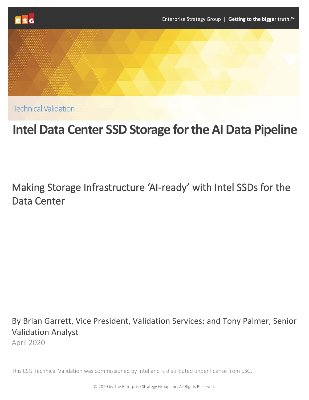



Technical Validation

# **Intel Data Center SSD Storage for the AI Data Pipeline**

# Making Storage Infrastructure 'AI-ready' with Intel SSDs for the Data Center

By Brian Garrett, Vice President, Validation Services; and Tony Palmer, Senior Validation Analyst

April 2020

This ESG Technical Validation was commissioned by Intel and is distributed under license from ESG.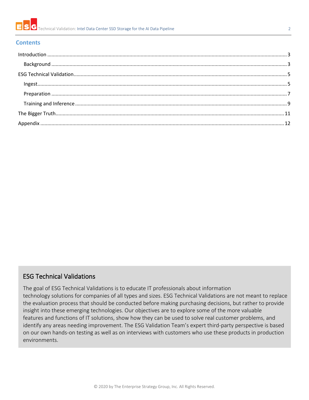

#### **Contents**

#### ESG Technical Validations

The goal of ESG Technical Validations is to educate IT professionals about information technology solutions for companies of all types and sizes. ESG Technical Validations are not meant to replace the evaluation process that should be conducted before making purchasing decisions, but rather to provide insight into these emerging technologies. Our objectives are to explore some of the more valuable features and functions of IT solutions, show how they can be used to solve real customer problems, and identify any areas needing improvement. The ESG Validation Team's expert third-party perspective is based on our own hands-on testing as well as on interviews with customers who use these products in production environments.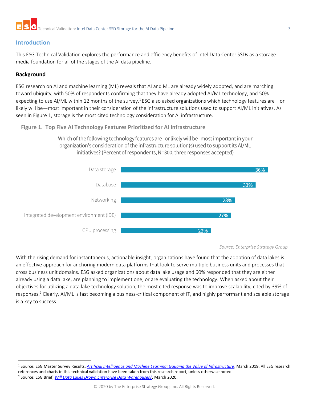

#### <span id="page-2-0"></span>**Introduction**

This ESG Technical Validation explores the performance and efficiency benefits of Intel Data Center SSDs as a storage media foundation for all of the stages of the AI data pipeline.

#### <span id="page-2-1"></span>**Background**

ESG research on AI and machine learning (ML) reveals that AI and ML are already widely adopted, and are marching toward ubiquity, with 50% of respondents confirming that they have already adopted AI/ML technology, and 50% expecting to use AI/ML within 12 months of the survey.<sup>1</sup> ESG also asked organizations which technology features are—or likely will be—most important in their consideration of the infrastructure solutions used to support AI/ML initiatives. As seen in [Figure 1,](#page-2-2) storage is the most cited technology consideration for AI infrastructure.

#### <span id="page-2-2"></span>**Figure 1. Top Five AI Technology Features Prioritized for AI Infrastructure**



Which of the following technology features are–or likely will be–most important in your organization's consideration of the infrastructure solution(s) used to support its AI/ML initiatives? (Percent of respondents, N=300, three responses accepted)

With the rising demand for instantaneous, actionable insight, organizations have found that the adoption of data lakes is an effective approach for anchoring modern data platforms that look to serve multiple business units and processes that cross business unit domains. ESG asked organizations about data lake usage and 60% responded that they are either already using a data lake, are planning to implement one, or are evaluating the technology. When asked about their objectives for utilizing a data lake technology solution, the most cited response was to improve scalability, cited by 39% of responses.<sup>2</sup> Clearly, AI/ML is fast becoming a business-critical component of IT, and highly performant and scalable storage is a key to success.

*Source: Enterprise Strategy Group*

<sup>1</sup> Source: ESG Master Survey Results, *[Artificial Intelligence and Machine Learning: Gauging the Value of Infrastructure](https://research.esg-global.com/reportaction/aimlmsr/Toc)*, March 2019. All ESG research references and charts in this technical validation have been taken from this research report, unless otherwise noted. <sup>2</sup> Source: ESG Brief, *[Will Data Lakes Drown Enterprise Data Warehouses?,](https://research.esg-global.com/reportaction/DataLakes_V_DataWarehousesMar2020/Toc)* March 2020.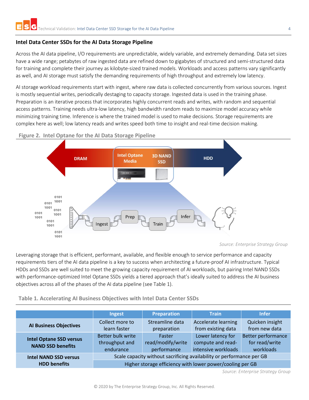#### **Intel Data Center SSDs for the AI Data Storage Pipeline**

Across the AI data pipeline, I/O requirements are unpredictable, widely variable, and extremely demanding. Data set sizes have a wide range; petabytes of raw ingested data are refined down to gigabytes of structured and semi-structured data for training and complete their journey as kilobyte-sized trained models. Workloads and access patterns vary significantly as well, and AI storage must satisfy the demanding requirements of high throughput and extremely low latency.

AI storage workload requirements start with ingest, where raw data is collected concurrently from various sources. Ingest is mostly sequential writes, periodically destaging to capacity storage. Ingested data is used in the training phase. Preparation is an iterative process that incorporates highly concurrent reads and writes, with random and sequential access patterns. Training needs ultra-low latency, high bandwidth random reads to maximize model accuracy while minimizing training time. Inference is where the trained model is used to make decisions. Storage requirements are complex here as well; low latency reads and writes speed both time to insight and real-time decision making.





*Source: Enterprise Strategy Group*

Leveraging storage that is efficient, performant, available, and flexible enough to service performance and capacity requirements tiers of the AI data pipeline is a key to success when architecting a future-proof AI infrastructure. Typical HDDs and SSDs are well suited to meet the growing capacity requirement of AI workloads, but pairing Intel NAND SSDs with performance-optimized Intel Optane SSDs yields a tiered approach that's ideally suited to address the AI business objectives across all of the phases of the AI data pipeline (see [Table 1\)](#page-3-0).

<span id="page-3-0"></span>**Table 1. Accelerating AI Business Objectives with Intel Data Center SSDs**

|                                | Ingest                                                                | <b>Preparation</b> | <b>Train</b>               | <b>Infer</b>              |
|--------------------------------|-----------------------------------------------------------------------|--------------------|----------------------------|---------------------------|
| <b>Al Business Objectives</b>  | Collect more to                                                       | Streamline data    | <b>Accelerate learning</b> | Quicken insight           |
|                                | learn faster                                                          | preparation        | from existing data         | from new data             |
| <b>Intel Optane SSD versus</b> | Better bulk write                                                     | Faster             | Lower latency for          | <b>Better performance</b> |
| <b>NAND SSD benefits</b>       | throughput and                                                        | read/modify/write  | compute and read-          | for read/write            |
|                                | endurance                                                             | performance        | intensive workloads        | workloads                 |
| <b>Intel NAND SSD versus</b>   | Scale capacity without sacrificing availability or performance per GB |                    |                            |                           |
| <b>HDD benefits</b>            | Higher storage efficiency with lower power/cooling per GB             |                    |                            |                           |

*Source: Enterprise Strategy Group*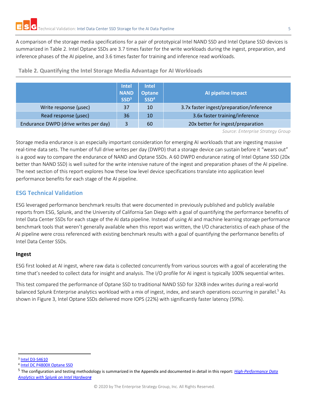A comparison of the storage media specifications for a pair of prototypical Intel NAND SSD and Intel Optane SSD devices is summarized in [Table 2.](#page-4-2) Intel Optane SSDs are 3.7 times faster for the write workloads during the ingest, preparation, and inference phases of the AI pipeline, and 3.6 times faster for training and inference read workloads.

|                                       | <b>Intel</b><br><b>NAND</b><br>SSD <sup>3</sup> | <b>Intel</b><br><b>Optane</b><br>SSD <sup>4</sup> | Al pipeline impact                       |
|---------------------------------------|-------------------------------------------------|---------------------------------------------------|------------------------------------------|
| Write response (usec)                 | 37                                              | 10                                                | 3.7x faster ingest/preparation/inference |
| Read response (usec)                  | 36                                              | 10                                                | 3.6x faster training/inference           |
| Endurance DWPD (drive writes per day) | 3                                               | 60                                                | 20x better for ingest/preparation        |

<span id="page-4-2"></span>**Table 2. Quantifying the Intel Storage Media Advantage for AI Workloads**

*Source: Enterprise Strategy Group*

Storage media endurance is an especially important consideration for emerging AI workloads that are ingesting massive real-time data sets. The number of full drive writes per day (DWPD) that a storage device can sustain before it "wears out" is a good way to compare the endurance of NAND and Optane SSDs. A 60 DWPD endurance rating of Intel Optane SSD (20x better than NAND SSD) is well suited for the write intensive nature of the ingest and preparation phases of the AI pipeline. The next section of this report explores how these low level device specifications translate into application level performance benefits for each stage of the AI pipeline.

#### <span id="page-4-0"></span>**ESG Technical Validation**

ESG leveraged performance benchmark results that were documented in previously published and publicly available reports from ESG, Splunk, and the University of California San Diego with a goal of quantifying the performance benefits of Intel Data Center SSDs for each stage of the AI data pipeline. Instead of using AI and machine learning storage performance benchmark tools that weren't generally available when this report was written, the I/O characteristics of each phase of the AI pipeline were cross referenced with existing benchmark results with a goal of quantifying the performance benefits of Intel Data Center SSDs.

#### <span id="page-4-1"></span>**Ingest**

ESG first looked at AI ingest, where raw data is collected concurrently from various sources with a goal of accelerating the time that's needed to collect data for insight and analysis. The I/O profile for AI ingest is typically 100% sequential writes.

This test compared the performance of Optane SSD to traditional NAND SSD for 32KB index writes during a real-world balanced Splunk Enterprise analytics workload with a mix of ingest, index, and search operations occurring in parallel.<sup>5</sup> As shown i[n Figure 3,](#page-5-0) Intel Optane SSDs delivered more IOPS (22%) with significantly faster latency (59%).

<sup>&</sup>lt;sup>3</sup> [Intel D3-S4610](https://ark.intel.com/content/www/us/en/ark/products/134919/intel-ssd-d3-s4610-series-480gb-2-5in-sata-6gb-s-3d2-tlc.html)

<sup>4</sup> [Intel DC P4800X Optane SSD](https://ark.intel.com/content/www/us/en/ark/products/97161/intel-optane-ssd-dc-p4800x-series-375gb-2-5in-pcie-x4-3d-xpoint.html)

<sup>5</sup> The configuration and testing methodology is summarized in the Appendix and documented in detail in this report: *[High-Performance Data](https://www.intel.com/content/dam/www/public/us/en/documents/reference-architectures/high-performance-data-analytics-with-splunk-brief.pdf)  [Analytics with Splunk on Intel Hardwar](https://www.intel.com/content/dam/www/public/us/en/documents/reference-architectures/high-performance-data-analytics-with-splunk-brief.pdf)e*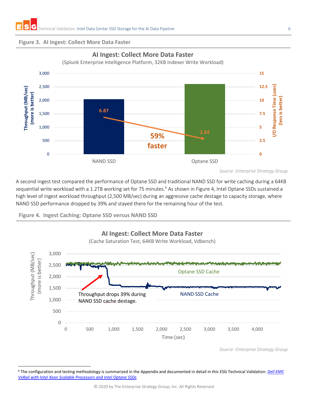#### <span id="page-5-0"></span>**Figure 3. AI Ingest: Collect More Data Faster**



#### **AI Ingest: Collect More Data Faster**

(Splunk Enterprise Intelligence Platform, 32KB Indexer Write Workload)

A second ingest test compared the performance of Optane SSD and traditional NAND SSD for write caching during a 64KB sequential write workload with a 1.2TB working set for 75 minutes.<sup>6</sup> As shown in [Figure 4,](#page-5-1) Intel Optane SSDs sustained a high level of ingest workload throughput (2,500 MB/sec) during an aggressive cache destage to capacity storage, where NAND SSD performance dropped by 39% and stayed there for the remaining hour of the test.

<span id="page-5-1"></span>



*Source: Enterprise Strategy Group*

*Source: Enterprise Strategy Group*

<sup>6</sup> The configuration and testing methodology is summarized in the Appendix and documented in detail in this ESG Technical Validation: *[Dell EMC](https://www.esg-global.com/validation/esg-technical-validation-dell-emc-vxrail-with-intel-xeon-scalable-processors-and-intel-optane-ssds)  [VxRail with Intel Xeon Scalable Processors and Intel Optane SSDs](https://www.esg-global.com/validation/esg-technical-validation-dell-emc-vxrail-with-intel-xeon-scalable-processors-and-intel-optane-ssds)*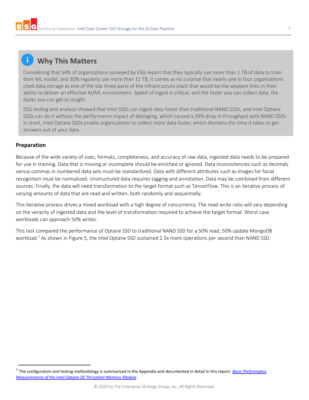## **Why This Matters**

Considering that 54% of organizations surveyed by ESG report that they typically use more than 1 TB of data to train their ML model, and 30% regularly use more than 11 TB, it comes as no surprise that nearly one in four organizations cited data storage as one of the top three parts of the infrastructure stack that would be the weakest links in their ability to deliver an effective AI/ML environment. Speed of ingest is critical, and the faster you can collect data, the faster you can get to insight.

ESG testing and analysis showed that Intel SSDs can ingest data faster than traditional NAND SSDs, and Intel Optane SSDs can do it without the performance impact of destaging, which caused a 39% drop in throughput with NAND SSDs. In short, Intel Optane SSDs enable organizations to collect more data faster, which shortens the time it takes to get answers out of your data.

#### <span id="page-6-0"></span>**Preparation**

Because of the wide variety of sizes, formats, completeness, and accuracy of raw data, ingested data needs to be prepared for use in training. Data that is missing or incomplete should be enriched or ignored. Data inconsistencies such as decimals versus commas in numbered data sets must be standardized. Data with different attributes such as images for facial recognition must be normalized. Unstructured data requires tagging and annotation. Data may be combined from different sources. Finally, the data will need transformation to the target format such as TensorFlow. This is an iterative process of varying amounts of data that are read and written, both randomly and sequentially.

This iterative process drives a mixed workload with a high degree of concurrency. The read-write ratio will vary depending on the veracity of ingested data and the level of transformation required to achieve the target format. Worst case workloads can approach 50% writes.

This test compared the performance of Optane SSD to traditional NAND SSD for a 50% read, 50% update MongoDB workload.<sup>7</sup> As shown i[n Figure 5,](#page-7-0) the Intel Optane SSD sustained 2.3x more operations per second than NAND SSD.

<sup>7</sup> The configuration and testing methodology is summarized in the Appendix and documented in detail in this report: *[Basic Performance](https://arxiv.org/pdf/1903.05714.pdf)  [Measurements of the Intel Optane DC Persistent Memory Module](https://arxiv.org/pdf/1903.05714.pdf)*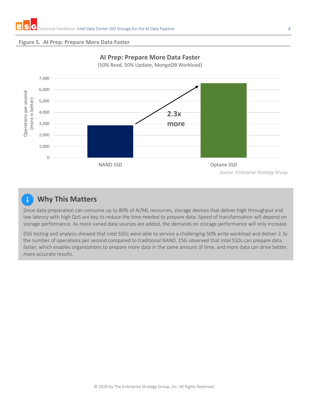#### <span id="page-7-0"></span>**Figure 5. AI Prep: Prepare More Data Faster**



### **AI Prep: Prepare More Data Faster**

(50% Read, 50% Update, MongoDB Workload)

#### **Why This Matters**

Since data preparation can consume up to 80% of AI/ML resources, storage devices that deliver high throughput and low latency with high QoS are key to reduce the time needed to prepare data. Speed of transformation will depend on storage performance. As more varied data sources are added, the demands on storage performance will only increase.

ESG testing and analysis showed that Intel SSDs were able to service a challenging 50% write workload and deliver 2.3x the number of operations per second compared to traditional NAND. ESG observed that Intel SSDs can prepare data faster, which enables organizations to prepare more data in the same amount of time, and more data can drive better, more accurate results.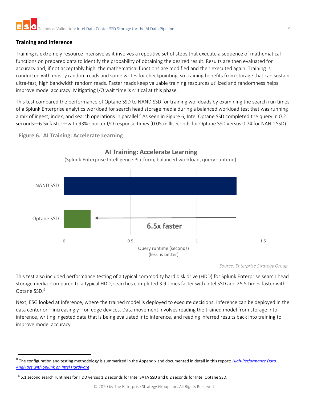#### <span id="page-8-0"></span>**Training and Inference**

Training is extremely resource intensive as it involves a repetitive set of steps that execute a sequence of mathematical functions on prepared data to identify the probability of obtaining the desired result. Results are then evaluated for accuracy and, if not acceptably high, the mathematical functions are modified and then executed again. Training is conducted with mostly random reads and some writes for checkpointing, so training benefits from storage that can sustain ultra-fast, high bandwidth random reads. Faster reads keep valuable training resources utilized and randomness helps improve model accuracy. Mitigating I/O wait time is critical at this phase.

This test compared the performance of Optane SSD to NAND SSD for training workloads by examining the search run times of a Splunk Enterprise analytics workload for search head storage media during a balanced workload test that was running a mix of ingest, index, and search operations in parallel.<sup>8</sup> As seen in [Figure 6,](#page-8-1) Intel Optane SSD completed the query in 0.2 seconds—6.5x faster—with 93% shorter I/O response times (0.05 milliseconds for Optane SSD versus 0.74 for NAND SSD).

<span id="page-8-1"></span>



*Source: Enterprise Strategy Group*

This test also included performance testing of a typical commodity hard disk drive (HDD) for Splunk Enterprise search head storage media. Compared to a typical HDD, searches completed 3.9 times faster with Intel SSD and 25.5 times faster with Optane SSD.<sup>9</sup>

Next, ESG looked at inference, where the trained model is deployed to execute decisions. Inference can be deployed in the data center or—increasingly—on edge devices. Data movement involves reading the trained model from storage into inference, writing ingested data that is being evaluated into inference, and reading inferred results back into training to improve model accuracy.

<sup>8</sup> The configuration and testing methodology is summarized in the Appendix and documented in detail in this report: *[High-Performance Data](https://www.intel.com/content/dam/www/public/us/en/documents/reference-architectures/high-performance-data-analytics-with-splunk-brief.pdf)  [Analytics with Splunk on Intel Hardwar](https://www.intel.com/content/dam/www/public/us/en/documents/reference-architectures/high-performance-data-analytics-with-splunk-brief.pdf)e*

<sup>9</sup> 5.1 second search runtimes for HDD versus 1.2 seconds for Intel SATA SSD and 0.2 seconds for Intel Optane SSD.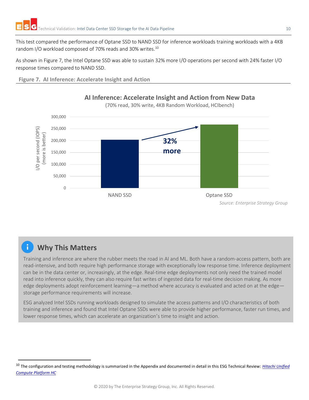This test compared the performance of Optane SSD to NAND SSD for inference workloads training workloads with a 4KB random I/O workload composed of 70% reads and 30% writes.<sup>10</sup>

As shown in [Figure 7,](#page-9-0) the Intel Optane SSD was able to sustain 32% more I/O operations per second with 24% faster I/O response times compared to NAND SSD.

<span id="page-9-0"></span>**Figure 7. AI Inference: Accelerate Insight and Action**



**AI Inference: Accelerate Insight and Action from New Data**



(70% read, 30% write, 4KB Random Workload, HCIbench)

## **Why This Matters**

Training and inference are where the rubber meets the road in AI and ML. Both have a random-access pattern, both are read-intensive, and both require high performance storage with exceptionally low response time. Inference deployment can be in the data center or, increasingly, at the edge. Real-time edge deployments not only need the trained model read into inference quickly, they can also require fast writes of ingested data for real-time decision making. As more edge deployments adopt reinforcement learning—a method where accuracy is evaluated and acted on at the edge storage performance requirements will increase.

ESG analyzed Intel SSDs running workloads designed to simulate the access patterns and I/O characteristics of both training and inference and found that Intel Optane SSDs were able to provide higher performance, faster run times, and lower response times, which can accelerate an organization's time to insight and action.

<sup>10</sup> The configuration and testing methodology is summarized in the Appendix and documented in detail in this ESG Technical Review: *[Hitachi Unified](https://www.hitachivantara.com/en-us/pdfd/analyst-content/unified-compute-platform-hc-esg-technical-review.pdf?f=1)  [Compute Platform HC](https://www.hitachivantara.com/en-us/pdfd/analyst-content/unified-compute-platform-hc-esg-technical-review.pdf?f=1)*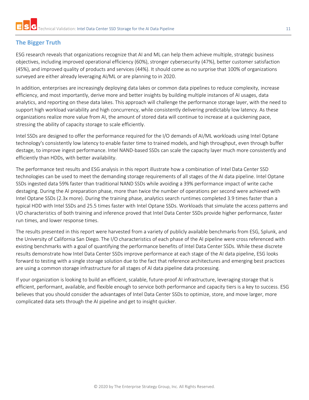#### <span id="page-10-0"></span>**The Bigger Truth**

ESG research reveals that organizations recognize that AI and ML can help them achieve multiple, strategic business objectives, including improved operational efficiency (60%), stronger cybersecurity (47%), better customer satisfaction (45%), and improved quality of products and services (44%). It should come as no surprise that 100% of organizations surveyed are either already leveraging AI/ML or are planning to in 2020.

In addition, enterprises are increasingly deploying data lakes or common data pipelines to reduce complexity, increase efficiency, and most importantly, derive more and better insights by building multiple instances of AI usages, data analytics, and reporting on these data lakes. This approach will challenge the performance storage layer, with the need to support high workload variability and high concurrency, while consistently delivering predictably low latency. As these organizations realize more value from AI, the amount of stored data will continue to increase at a quickening pace, stressing the ability of capacity storage to scale efficiently.

Intel SSDs are designed to offer the performance required for the I/O demands of AI/ML workloads using Intel Optane technology's consistently low latency to enable faster time to trained models, and high throughput, even through buffer destage, to improve ingest performance. Intel NAND-based SSDs can scale the capacity layer much more consistently and efficiently than HDDs, with better availability.

The performance test results and ESG analysis in this report illustrate how a combination of Intel Data Center SSD technologies can be used to meet the demanding storage requirements of all stages of the AI data pipeline. Intel Optane SSDs ingested data 59% faster than traditional NAND SSDs while avoiding a 39% performance impact of write cache destaging. During the AI preparation phase, more than twice the number of operations per second were achieved with Intel Optane SSDs (2.3x more). During the training phase, analytics search runtimes completed 3.9 times faster than a typical HDD with Intel SSDs and 25.5 times faster with Intel Optane SSDs. Workloads that simulate the access patterns and I/O characteristics of both training and inference proved that Intel Data Center SSDs provide higher performance, faster run times, and lower response times.

The results presented in this report were harvested from a variety of publicly available benchmarks from ESG, Splunk, and the University of California San Diego. The I/O characteristics of each phase of the AI pipeline were cross referenced with existing benchmarks with a goal of quantifying the performance benefits of Intel Data Center SSDs. While these discrete results demonstrate how Intel Data Center SSDs improve performance at each stage of the AI data pipeline, ESG looks forward to testing with a single storage solution due to the fact that reference architectures and emerging best practices are using a common storage infrastructure for all stages of AI data pipeline data processing.

If your organization is looking to build an efficient, scalable, future-proof AI infrastructure, leveraging storage that is efficient, performant, available, and flexible enough to service both performance and capacity tiers is a key to success. ESG believes that you should consider the advantages of Intel Data Center SSDs to optimize, store, and move larger, more complicated data sets through the AI pipeline and get to insight quicker.